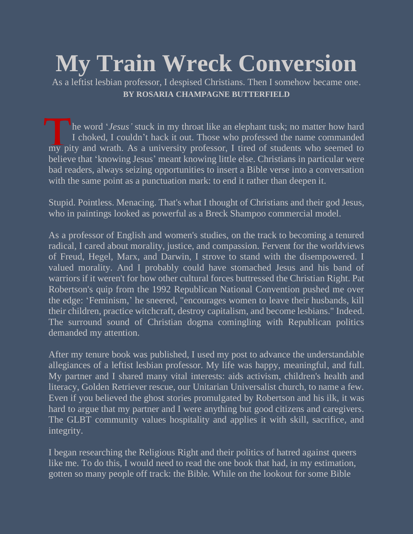## **My Train Wreck Conversion**

As a leftist lesbian professor, I despised Christians. Then I somehow became one. **BY ROSARIA CHAMPAGNE BUTTERFIELD**

he word '*Jesus'* stuck in my throat like an elephant tusk; no matter how hard I choked, I couldn't hack it out. Those who professed the name commanded my pity and wrath. As a university professor, I tired of students who seemed to believe that 'knowing Jesus' meant knowing little else. Christians in particular were bad readers, always seizing opportunities to insert a Bible verse into a conversation with the same point as a punctuation mark: to end it rather than deepen it. The I cl

Stupid. Pointless. Menacing. That's what I thought of Christians and their god Jesus, who in paintings looked as powerful as a Breck Shampoo commercial model.

As a professor of English and women's studies, on the track to becoming a tenured radical, I cared about morality, justice, and compassion. Fervent for the worldviews of Freud, Hegel, Marx, and Darwin, I strove to stand with the disempowered. I valued morality. And I probably could have stomached Jesus and his band of warriors if it weren't for how other cultural forces buttressed the Christian Right. Pat Robertson's quip from the 1992 Republican National Convention pushed me over the edge: 'Feminism,' he sneered, "encourages women to leave their husbands, kill their children, practice witchcraft, destroy capitalism, and become lesbians." Indeed. The surround sound of Christian dogma comingling with Republican politics demanded my attention.

After my tenure book was published, I used my post to advance the understandable allegiances of a leftist lesbian professor. My life was happy, meaningful, and full. My partner and I shared many vital interests: aids activism, children's health and literacy, Golden Retriever rescue, our Unitarian Universalist church, to name a few. Even if you believed the ghost stories promulgated by Robertson and his ilk, it was hard to argue that my partner and I were anything but good citizens and caregivers. The GLBT community values hospitality and applies it with skill, sacrifice, and integrity.

I began researching the Religious Right and their politics of hatred against queers like me. To do this, I would need to read the one book that had, in my estimation, gotten so many people off track: the Bible. While on the lookout for some Bible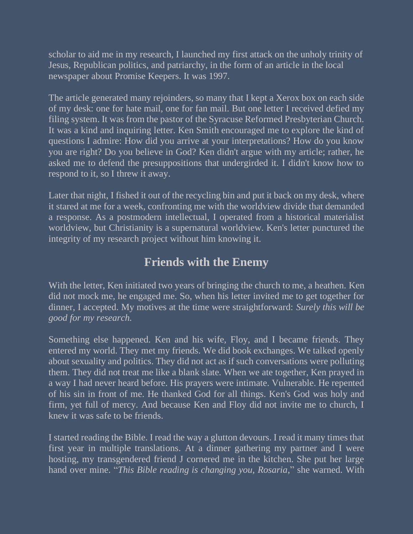scholar to aid me in my research, I launched my first attack on the unholy trinity of Jesus, Republican politics, and patriarchy, in the form of an article in the local newspaper about Promise Keepers. It was 1997.

The article generated many rejoinders, so many that I kept a Xerox box on each side of my desk: one for hate mail, one for fan mail. But one letter I received defied my filing system. It was from the pastor of the Syracuse Reformed Presbyterian Church. It was a kind and inquiring letter. Ken Smith encouraged me to explore the kind of questions I admire: How did you arrive at your interpretations? How do you know you are right? Do you believe in God? Ken didn't argue with my article; rather, he asked me to defend the presuppositions that undergirded it. I didn't know how to respond to it, so I threw it away.

Later that night, I fished it out of the recycling bin and put it back on my desk, where it stared at me for a week, confronting me with the worldview divide that demanded a response. As a postmodern intellectual, I operated from a historical materialist worldview, but Christianity is a supernatural worldview. Ken's letter punctured the integrity of my research project without him knowing it.

## **Friends with the Enemy**

With the letter, Ken initiated two years of bringing the church to me, a heathen. Ken did not mock me, he engaged me. So, when his letter invited me to get together for dinner, I accepted. My motives at the time were straightforward: *Surely this will be good for my research.*

Something else happened. Ken and his wife, Floy, and I became friends. They entered my world. They met my friends. We did book exchanges. We talked openly about sexuality and politics. They did not act as if such conversations were polluting them. They did not treat me like a blank slate. When we ate together, Ken prayed in a way I had never heard before. His prayers were intimate. Vulnerable. He repented of his sin in front of me. He thanked God for all things. Ken's God was holy and firm, yet full of mercy. And because Ken and Floy did not invite me to church, I knew it was safe to be friends.

I started reading the Bible. I read the way a glutton devours. I read it many times that first year in multiple translations. At a dinner gathering my partner and I were hosting, my transgendered friend J cornered me in the kitchen. She put her large hand over mine. "*This Bible reading is changing you, Rosaria*," she warned. With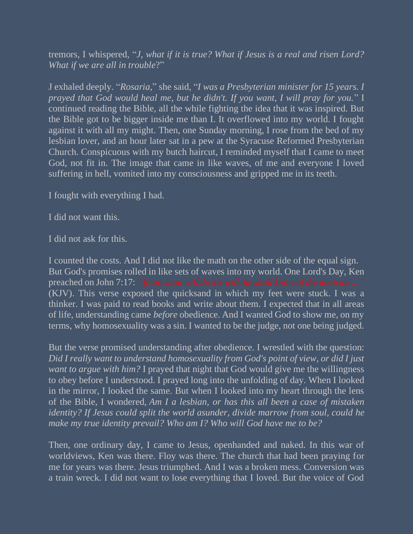tremors, I whispered, "*J, what if it is true? What if Jesus is a real and risen Lord? What if we are all in trouble*?"

J exhaled deeply. "*Rosaria*," she said, "*I was a Presbyterian minister for 15 years. I prayed that God would heal me, but he didn't. If you want, I will pray for you.*" I continued reading the Bible, all the while fighting the idea that it was inspired. But the Bible got to be bigger inside me than I. It overflowed into my world. I fought against it with all my might. Then, one Sunday morning, I rose from the bed of my lesbian lover, and an hour later sat in a pew at the Syracuse Reformed Presbyterian Church. Conspicuous with my butch haircut, I reminded myself that I came to meet God, not fit in. The image that came in like waves, of me and everyone I loved suffering in hell, vomited into my consciousness and gripped me in its teeth.

I fought with everything I had.

I did not want this.

I did not ask for this.

I counted the costs. And I did not like the math on the other side of the equal sign. But God's promises rolled in like sets of waves into my world. One Lord's Day, Ken preached on John 7:17: *"If any man will do his will, he shall know of the doctrine…"* (KJV). This verse exposed the quicksand in which my feet were stuck. I was a thinker. I was paid to read books and write about them. I expected that in all areas of life, understanding came *before* obedience. And I wanted God to show me, on my terms, why homosexuality was a sin. I wanted to be the judge, not one being judged.

But the verse promised understanding after obedience. I wrestled with the question: *Did I really want to understand homosexuality from God's point of view, or did I just want to argue with him?* I prayed that night that God would give me the willingness to obey before I understood. I prayed long into the unfolding of day. When I looked in the mirror, I looked the same. But when I looked into my heart through the lens of the Bible, I wondered, *Am I a lesbian, or has this all been a case of mistaken identity? If Jesus could split the world asunder, divide marrow from soul, could he make my true identity prevail? Who am I? Who will God have me to be?*

Then, one ordinary day, I came to Jesus, openhanded and naked. In this war of worldviews, Ken was there. Floy was there. The church that had been praying for me for years was there. Jesus triumphed. And I was a broken mess. Conversion was a train wreck. I did not want to lose everything that I loved. But the voice of God